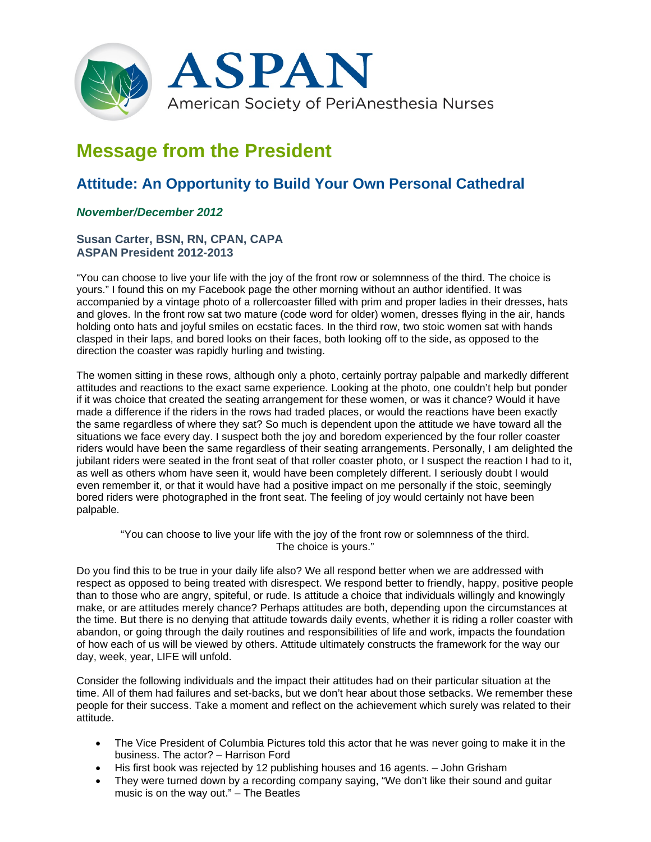

# **Message from the President**

# **Attitude: An Opportunity to Build Your Own Personal Cathedral**

## *November/December 2012*

### **Susan Carter, BSN, RN, CPAN, CAPA ASPAN President 2012-2013**

"You can choose to live your life with the joy of the front row or solemnness of the third. The choice is yours." I found this on my Facebook page the other morning without an author identified. It was accompanied by a vintage photo of a rollercoaster filled with prim and proper ladies in their dresses, hats and gloves. In the front row sat two mature (code word for older) women, dresses flying in the air, hands holding onto hats and joyful smiles on ecstatic faces. In the third row, two stoic women sat with hands clasped in their laps, and bored looks on their faces, both looking off to the side, as opposed to the direction the coaster was rapidly hurling and twisting.

The women sitting in these rows, although only a photo, certainly portray palpable and markedly different attitudes and reactions to the exact same experience. Looking at the photo, one couldn't help but ponder if it was choice that created the seating arrangement for these women, or was it chance? Would it have made a difference if the riders in the rows had traded places, or would the reactions have been exactly the same regardless of where they sat? So much is dependent upon the attitude we have toward all the situations we face every day. I suspect both the joy and boredom experienced by the four roller coaster riders would have been the same regardless of their seating arrangements. Personally, I am delighted the jubilant riders were seated in the front seat of that roller coaster photo, or I suspect the reaction I had to it, as well as others whom have seen it, would have been completely different. I seriously doubt I would even remember it, or that it would have had a positive impact on me personally if the stoic, seemingly bored riders were photographed in the front seat. The feeling of joy would certainly not have been palpable.

"You can choose to live your life with the joy of the front row or solemnness of the third. The choice is yours."

Do you find this to be true in your daily life also? We all respond better when we are addressed with respect as opposed to being treated with disrespect. We respond better to friendly, happy, positive people than to those who are angry, spiteful, or rude. Is attitude a choice that individuals willingly and knowingly make, or are attitudes merely chance? Perhaps attitudes are both, depending upon the circumstances at the time. But there is no denying that attitude towards daily events, whether it is riding a roller coaster with abandon, or going through the daily routines and responsibilities of life and work, impacts the foundation of how each of us will be viewed by others. Attitude ultimately constructs the framework for the way our day, week, year, LIFE will unfold.

Consider the following individuals and the impact their attitudes had on their particular situation at the time. All of them had failures and set-backs, but we don't hear about those setbacks. We remember these people for their success. Take a moment and reflect on the achievement which surely was related to their attitude.

- The Vice President of Columbia Pictures told this actor that he was never going to make it in the business. The actor? – Harrison Ford
- His first book was rejected by 12 publishing houses and 16 agents. John Grisham
- They were turned down by a recording company saying, "We don't like their sound and guitar music is on the way out." – The Beatles